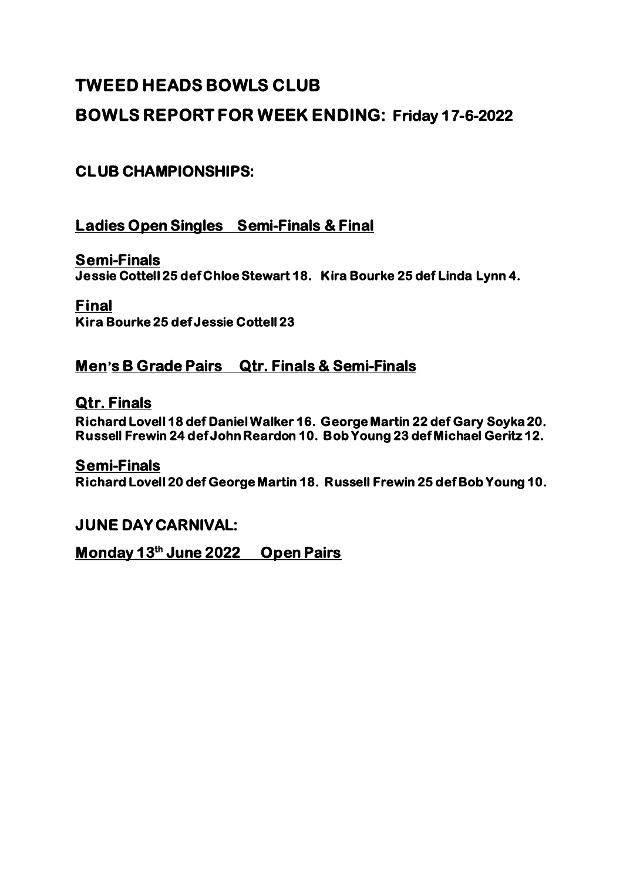# **TWEED HEADS BOWLS CLUB**

## **BOWLS REPORT FOR WEEK ENDING: Friday 17-6-2022**

## **CLUB CHAMPIONSHIPS:**

### **Ladies Open Singles Semi-Finals & Final**

**Semi-Finals Jessie Cottell 25 def Chloe Stewart 18. Kira Bourke 25 def Linda Lynn 4.** 

#### **Final Kira Bourke 25 def Jessie Cottell 23**

### **Men's B Grade Pairs Qtr. Finals & Semi-Finals**

#### **Qtr. Finals**

**Richard Lovell 18 def Daniel Walker 16. George Martin 22 def Gary Soyka 20. Russell Frewin 24 def John Reardon 10. Bob Young 23 def Michael Geritz 12.** 

#### **Semi-Finals**

**Richard Lovell 20 def George Martin 18. Russell Frewin 25 def Bob Young 10.** 

#### **JUNE DAY CARNIVAL:**

**Monday 13th June 2022 Open Pairs**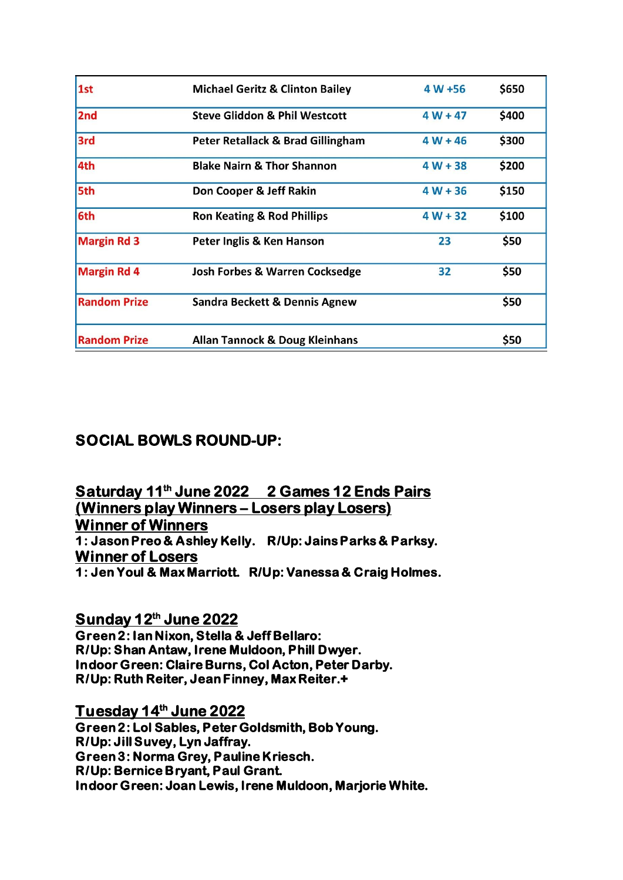| 1st                 | <b>Michael Geritz &amp; Clinton Bailey</b> | $4 W + 56$ | \$650 |
|---------------------|--------------------------------------------|------------|-------|
| 2nd                 | <b>Steve Gliddon &amp; Phil Westcott</b>   | $4W + 47$  | \$400 |
| 3rd                 | Peter Retallack & Brad Gillingham          | $4 W + 46$ | \$300 |
| 4th                 | <b>Blake Nairn &amp; Thor Shannon</b>      | $4 W + 38$ | \$200 |
| 5th                 | Don Cooper & Jeff Rakin                    | $4 W + 36$ | \$150 |
| 6th                 | <b>Ron Keating &amp; Rod Phillips</b>      | $4 W + 32$ | \$100 |
| <b>Margin Rd 3</b>  | Peter Inglis & Ken Hanson                  | 23         | \$50  |
| <b>Margin Rd 4</b>  | <b>Josh Forbes &amp; Warren Cocksedge</b>  | 32         | \$50  |
| <b>Random Prize</b> | Sandra Beckett & Dennis Agnew              |            | \$50  |
| <b>Random Prize</b> | <b>Allan Tannock &amp; Doug Kleinhans</b>  |            | \$50  |

## **SOCIAL BOWLS ROUND-UP:**

**Saturday 11th June 2022 2 Games 12 Ends Pairs (Winners play Winners – Losers play Losers) Winner of Winners 1: Jason Preo & Ashley Kelly. R/Up: Jains Parks & Parksy. Winner of Losers 1: Jen Youl & Max Marriott. R/Up: Vanessa & Craig Holmes.** 

**Sunday 12th June 2022 Green 2: Ian Nixon, Stella & Jeff Bellaro: R/Up: Shan Antaw, Irene Muldoon, Phill Dwyer. Indoor Green: Claire Burns, Col Acton, Peter Darby. R/Up: Ruth Reiter, Jean Finney, Max Reiter.+** 

**Tuesday 14th June 2022 Green 2: Lol Sables, Peter Goldsmith, Bob Young. R/Up: Jill Suvey, Lyn Jaffray. Green 3: Norma Grey, Pauline Kriesch. R/Up: Bernice Bryant, Paul Grant. Indoor Green: Joan Lewis, Irene Muldoon, Marjorie White.**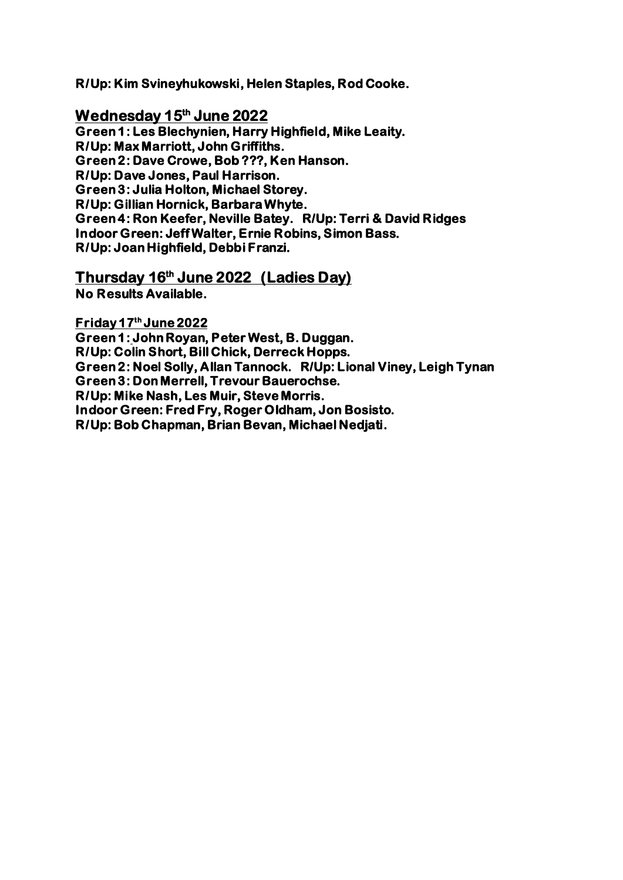**R/Up: Kim Svineyhukowski, Helen Staples, Rod Cooke.** 

**Wednesday 15th June 2022 Green 1: Les Blechynien, Harry Highfield, Mike Leaity. R/Up: Max Marriott, John Griffiths. Green 2: Dave Crowe, Bob ???, Ken Hanson. R/Up: Dave Jones, Paul Harrison. Green 3: Julia Holton, Michael Storey. R/Up: Gillian Hornick, Barbara Whyte. Green 4: Ron Keefer, Neville Batey. R/Up: Terri & David Ridges Indoor Green: Jeff Walter, Ernie Robins, Simon Bass. R/Up: Joan Highfield, Debbi Franzi.** 

**Thursday 16th June 2022 (Ladies Day) No Results Available.** 

**Friday 17th June 2022** 

**Green 1: John Royan, Peter West, B. Duggan. R/Up: Colin Short, Bill Chick, Derreck Hopps. Green 2: Noel Solly, Allan Tannock. R/Up: Lional Viney, Leigh Tynan Green 3: Don Merrell, Trevour Bauerochse. R/Up: Mike Nash, Les Muir, Steve Morris. Indoor Green: Fred Fry, Roger Oldham, Jon Bosisto. R/Up: Bob Chapman, Brian Bevan, Michael Nedjati.**